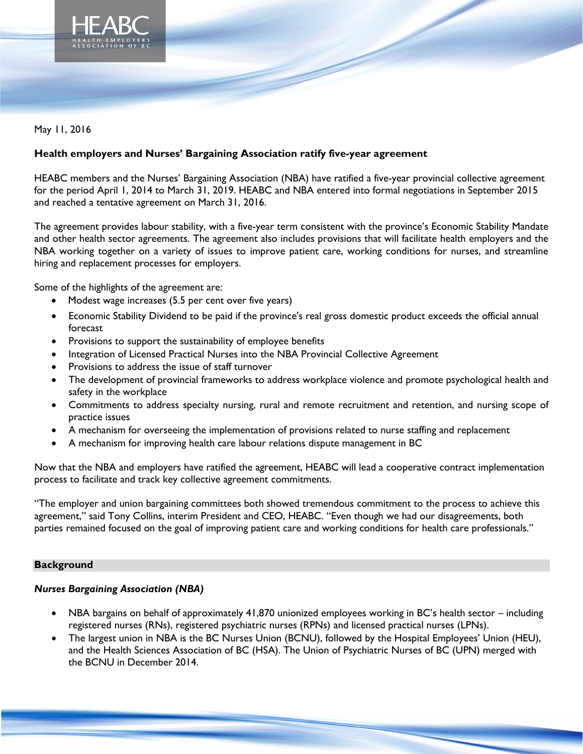

# May 11, 2016

## **Health employers and Nurses' Bargaining Association ratify five-year agreement**

HEABC members and the Nurses' Bargaining Association (NBA) have ratified a five-year provincial collective agreement for the period April 1, 2014 to March 31, 2019. HEABC and NBA entered into formal negotiations in September 2015 and reached a tentative agreement on March 31, 2016.

The agreement provides labour stability, with a five-year term consistent with the province's Economic Stability Mandate and other health sector agreements. The agreement also includes provisions that will facilitate health employers and the NBA working together on a variety of issues to improve patient care, working conditions for nurses, and streamline hiring and replacement processes for employers.

Some of the highlights of the agreement are:

- Modest wage increases (5.5 per cent over five years)
- Economic Stability Dividend to be paid if the province's real gross domestic product exceeds the official annual forecast
- Provisions to support the sustainability of employee benefits
- Integration of Licensed Practical Nurses into the NBA Provincial Collective Agreement
- Provisions to address the issue of staff turnover
- The development of provincial frameworks to address workplace violence and promote psychological health and safety in the workplace
- Commitments to address specialty nursing, rural and remote recruitment and retention, and nursing scope of practice issues
- A mechanism for overseeing the implementation of provisions related to nurse staffing and replacement
- A mechanism for improving health care labour relations dispute management in BC

Now that the NBA and employers have ratified the agreement, HEABC will lead a cooperative contract implementation process to facilitate and track key collective agreement commitments.

"The employer and union bargaining committees both showed tremendous commitment to the process to achieve this agreement," said Tony Collins, interim President and CEO, HEABC. "Even though we had our disagreements, both parties remained focused on the goal of improving patient care and working conditions for health care professionals."

#### **Background**

#### *Nurses Bargaining Association (NBA)*

- NBA bargains on behalf of approximately 41,870 unionized employees working in BC's health sector including registered nurses (RNs), registered psychiatric nurses (RPNs) and licensed practical nurses (LPNs).
- The largest union in NBA is the BC Nurses Union (BCNU), followed by the Hospital Employees' Union (HEU), and the Health Sciences Association of BC (HSA). The Union of Psychiatric Nurses of BC (UPN) merged with the BCNU in December 2014.